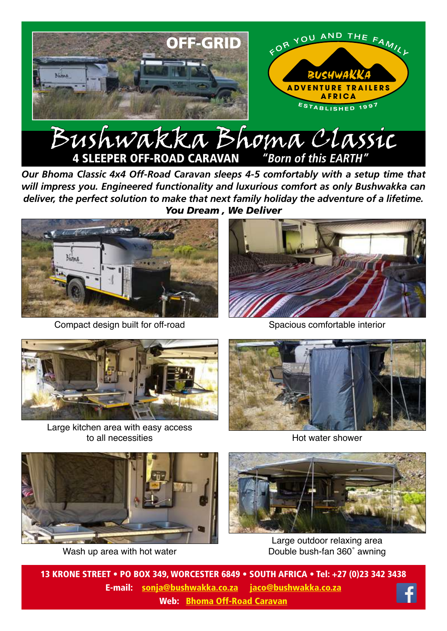

*Our Bhoma Classic 4x4 Off-Road Caravan sleeps 4-5 comfortably with a setup time that will impress you. Engineered functionality and luxurious comfort as only Bushwakka can deliver, the perfect solution to make that next family holiday the adventure of a lifetime. You Dream , We Deliver*



Compact design built for off-road



Spacious comfortable interior



Large kitchen area with easy access to all necessities



Hot water shower



Wash up area with hot water



Large outdoor relaxing area Double bush-fan 360˚ awning

13 KRONE STREET • PO BOX 349, WORCESTER 6849 • SOUTH AFRICA • Tel: +27 (0)23 342 3438 E-mail: sonja@bushwakka.co.za jaco@bushwakka.co.za Web: Bhoma [Off-Road Caravan](https://bushwakka.co.za/bhoma-4x4-off-road-caravan/?utm_source=website&utm_medium=ebrochure&utm_campaign=bhoma&utm_id=BHOMA)